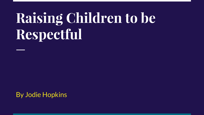# **Raising Children to be Respectful**

By Jodie Hopkins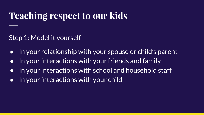## **Teaching respect to our kids**

Step 1: Model it yourself

- In your relationship with your spouse or child's parent
- In your interactions with your friends and family
- In your interactions with school and household staff
- In your interactions with your child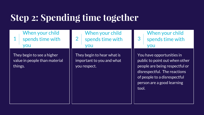# **Step 2: Spending time together**

1 When your child spends time with you

They begin to see a higher value in people than material things.

2 When your child spends time with you

They begin to hear what is important to you and what you respect.

3 When your child spends time with you

You have opportunities in public to point out when other people are being respectful or disrespectful. The reactions of people to a disrespectful person are a good learning tool.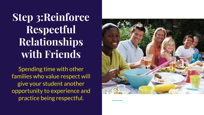**Step 3:Reinforce Respectful Relationships with Friends**

Spending time with other families who value respect will give your student another opportunity to experience and practice being respectful.

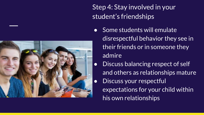Step 4: Stay involved in your student's friendships

- Some students will emulate disrespectful behavior they see in their friends or in someone they admire
	- Discuss balancing respect of self and others as relationships mature
- Discuss your respectful
	- expectations for your child within his own relationships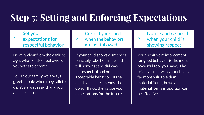# **Step 5: Setting and Enforcing Expectations**

1 Set your expectations for respectful behavior

Be very clear from the earliest ages what kinds of behaviors you want to enforce.

I.e. - In our family we always greet people when they talk to us. We always say thank you and please. etc.



If your child shows disrespect, privately take her aside and tell her what she did was disrespectful and not acceptable behavior. If the child can make amends, then do so. If not, then state your expectations for the future.

3 Notice and respond when your child is showing respect

Your positive reinforcement for good behavior is the most powerful tool you have. The pride you show in your child is far more valuable than material items, however material items in addition can be effective.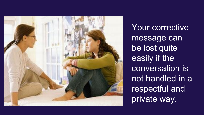

Your corrective message can be lost quite easily if the conversation is not handled in a respectful and private way.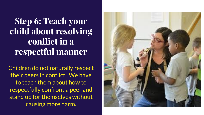## **Step 6: Teach your child about resolving conflict in a respectful manner**

Children do not naturally respect their peers in conflict. We have to teach them about how to respectfully confront a peer and stand up for themselves without causing more harm.

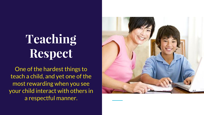# **Teaching Respect**

One of the hardest things to teach a child, and yet one of the most rewarding when you see your child interact with others in a respectful manner.

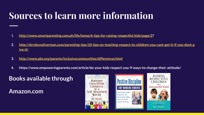# **Sources to learn more information**

- 1. **[http://www.smartparenting.com.ph/life/home/6-tips-for-raising-respectful-kids/page/2?](http://www.smartparenting.com.ph/life/home/6-tips-for-raising-respectful-kids/page/2)**
- **2. [http://drrobynsilverman.com/parenting-tips/10-tips-on-teaching-respect-to-children-you-cant-get-it-if-you-dont-g](http://drrobynsilverman.com/parenting-tips/10-tips-on-teaching-respect-to-children-you-cant-get-it-if-you-dont-give-it/) [ive-it/](http://drrobynsilverman.com/parenting-tips/10-tips-on-teaching-respect-to-children-you-cant-get-it-if-you-dont-give-it/)**
- **3. <http://www.pbs.org/parents/inclusivecommunities/differences.html>**
- **4. https://www.empoweringparents.com/article/do-your-kids-respect-you-9-ways-to-change-their-attitude/**

#### **Books available through**

#### **Amazon.com**